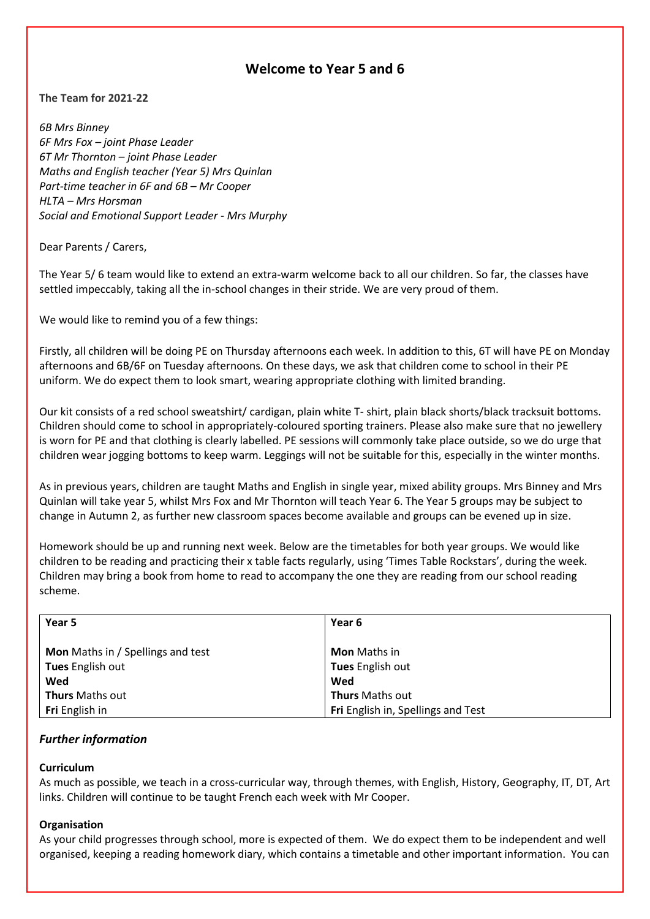# **Welcome to Year 5 and 6**

**The Team for 2021-22**

*6B Mrs Binney 6F Mrs Fox – joint Phase Leader 6T Mr Thornton – joint Phase Leader Maths and English teacher (Year 5) Mrs Quinlan Part-time teacher in 6F and 6B – Mr Cooper HLTA – Mrs Horsman Social and Emotional Support Leader - Mrs Murphy*

Dear Parents / Carers,

The Year 5/ 6 team would like to extend an extra-warm welcome back to all our children. So far, the classes have settled impeccably, taking all the in-school changes in their stride. We are very proud of them.

We would like to remind you of a few things:

Firstly, all children will be doing PE on Thursday afternoons each week. In addition to this, 6T will have PE on Monday afternoons and 6B/6F on Tuesday afternoons. On these days, we ask that children come to school in their PE uniform. We do expect them to look smart, wearing appropriate clothing with limited branding.

Our kit consists of a red school sweatshirt/ cardigan, plain white T- shirt, plain black shorts/black tracksuit bottoms. Children should come to school in appropriately-coloured sporting trainers. Please also make sure that no jewellery is worn for PE and that clothing is clearly labelled. PE sessions will commonly take place outside, so we do urge that children wear jogging bottoms to keep warm. Leggings will not be suitable for this, especially in the winter months.

As in previous years, children are taught Maths and English in single year, mixed ability groups. Mrs Binney and Mrs Quinlan will take year 5, whilst Mrs Fox and Mr Thornton will teach Year 6. The Year 5 groups may be subject to change in Autumn 2, as further new classroom spaces become available and groups can be evened up in size.

Homework should be up and running next week. Below are the timetables for both year groups. We would like children to be reading and practicing their x table facts regularly, using 'Times Table Rockstars', during the week. Children may bring a book from home to read to accompany the one they are reading from our school reading scheme.

| Year 5                                   | Year 6                             |
|------------------------------------------|------------------------------------|
| <b>Mon</b> Maths in / Spellings and test | <b>Mon</b> Maths in                |
| Tues English out                         | Tues English out                   |
| Wed                                      | Wed                                |
| <b>Thurs</b> Maths out                   | <b>Thurs</b> Maths out             |
| Fri English in                           | Fri English in, Spellings and Test |

# *Further information*

# **Curriculum**

As much as possible, we teach in a cross-curricular way, through themes, with English, History, Geography, IT, DT, Art links. Children will continue to be taught French each week with Mr Cooper.

#### **Organisation**

As your child progresses through school, more is expected of them. We do expect them to be independent and well organised, keeping a reading homework diary, which contains a timetable and other important information. You can